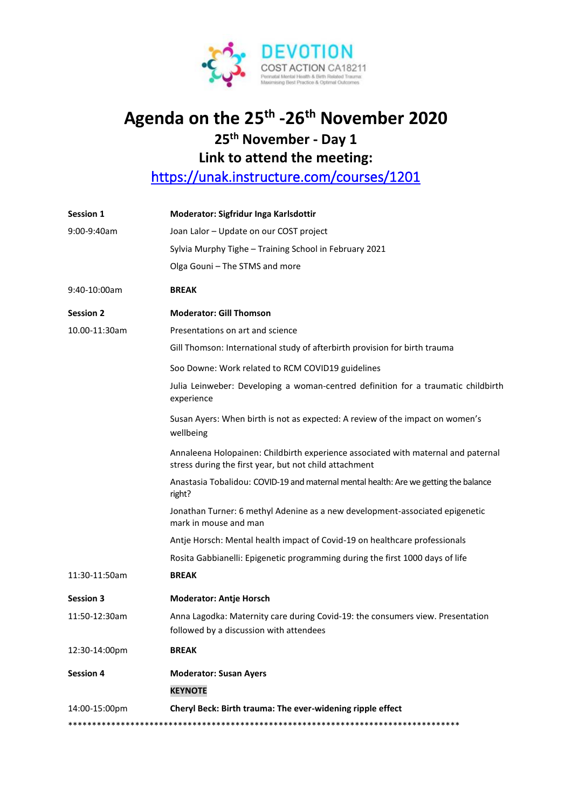

## Agenda on the 25<sup>th</sup> -26<sup>th</sup> November 2020

## 25<sup>th</sup> November - Day 1

Link to attend the meeting:

https://unak.instructure.com/courses/1201

| Session 1        | Moderator: Sigfridur Inga Karlsdottir                                                                                                       |
|------------------|---------------------------------------------------------------------------------------------------------------------------------------------|
| 9:00-9:40am      | Joan Lalor - Update on our COST project                                                                                                     |
|                  | Sylvia Murphy Tighe - Training School in February 2021                                                                                      |
|                  | Olga Gouni - The STMS and more                                                                                                              |
| 9:40-10:00am     | <b>BREAK</b>                                                                                                                                |
| <b>Session 2</b> | <b>Moderator: Gill Thomson</b>                                                                                                              |
| 10.00-11:30am    | Presentations on art and science                                                                                                            |
|                  | Gill Thomson: International study of afterbirth provision for birth trauma                                                                  |
|                  | Soo Downe: Work related to RCM COVID19 guidelines                                                                                           |
|                  | Julia Leinweber: Developing a woman-centred definition for a traumatic childbirth<br>experience                                             |
|                  | Susan Ayers: When birth is not as expected: A review of the impact on women's<br>wellbeing                                                  |
|                  | Annaleena Holopainen: Childbirth experience associated with maternal and paternal<br>stress during the first year, but not child attachment |
|                  | Anastasia Tobalidou: COVID-19 and maternal mental health: Are we getting the balance<br>right?                                              |
|                  | Jonathan Turner: 6 methyl Adenine as a new development-associated epigenetic<br>mark in mouse and man                                       |
|                  | Antje Horsch: Mental health impact of Covid-19 on healthcare professionals                                                                  |
|                  | Rosita Gabbianelli: Epigenetic programming during the first 1000 days of life                                                               |
| 11:30-11:50am    | <b>BREAK</b>                                                                                                                                |
| <b>Session 3</b> | <b>Moderator: Antje Horsch</b>                                                                                                              |
| 11:50-12:30am    | Anna Lagodka: Maternity care during Covid-19: the consumers view. Presentation<br>followed by a discussion with attendees                   |
| 12:30-14:00pm    | <b>BREAK</b>                                                                                                                                |
| <b>Session 4</b> | <b>Moderator: Susan Ayers</b>                                                                                                               |
|                  | <b>KEYNOTE</b>                                                                                                                              |
| 14:00-15:00pm    | Cheryl Beck: Birth trauma: The ever-widening ripple effect                                                                                  |
|                  |                                                                                                                                             |